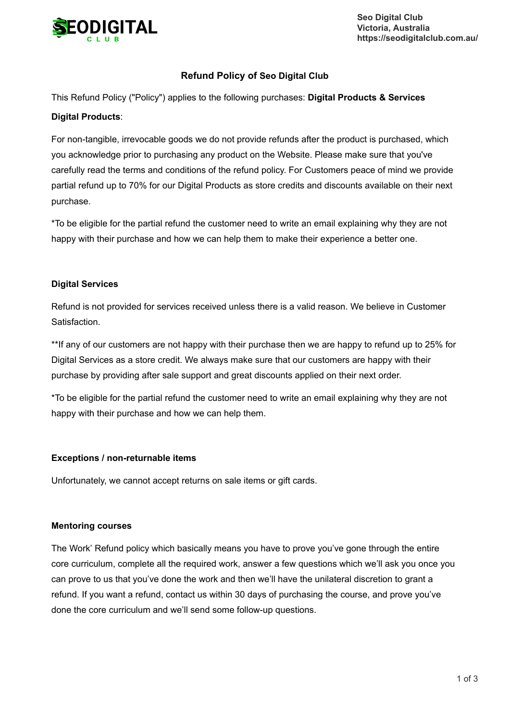

**Seo Digital Club Victoria, Australia https://seodigitalclub.com.au/**

# **Refund Policy of Seo Digital Club**

This Refund Policy ("Policy") applies to the following purchases: **Digital Products & Services**

## **Digital Products**:

For non-tangible, irrevocable goods we do not provide refunds after the product is purchased, which you acknowledge prior to purchasing any product on the Website. Please make sure that you've carefully read the terms and conditions of the refund policy. For Customers peace of mind we provide partial refund up to 70% for our Digital Products as store credits and discounts available on their next purchase.

\*To be eligible for the partial refund the customer need to write an email explaining why they are not happy with their purchase and how we can help them to make their experience a better one.

## **Digital Services**

Refund is not provided for services received unless there is a valid reason. We believe in Customer Satisfaction.

\*\*If any of our customers are not happy with their purchase then we are happy to refund up to 25% for Digital Services as a store credit. We always make sure that our customers are happy with their purchase by providing after sale support and great discounts applied on their next order.

\*To be eligible for the partial refund the customer need to write an email explaining why they are not happy with their purchase and how we can help them.

#### **Exceptions / non-returnable items**

Unfortunately, we cannot accept returns on sale items or gift cards.

#### **Mentoring courses**

The Work' Refund policy which basically means you have to prove you've gone through the entire core curriculum, complete all the required work, answer a few questions which we'll ask you once you can prove to us that you've done the work and then we'll have the unilateral discretion to grant a refund. If you want a refund, contact us within 30 days of purchasing the course, and prove you've done the core curriculum and we'll send some follow-up questions.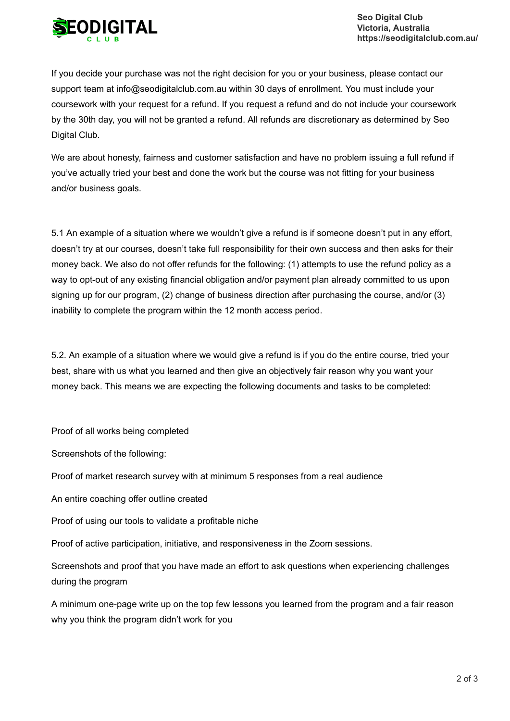

If you decide your purchase was not the right decision for you or your business, please contact our support team at info@seodigitalclub.com.au within 30 days of enrollment. You must include your coursework with your request for a refund. If you request a refund and do not include your coursework by the 30th day, you will not be granted a refund. All refunds are discretionary as determined by Seo Digital Club.

We are about honesty, fairness and customer satisfaction and have no problem issuing a full refund if you've actually tried your best and done the work but the course was not fitting for your business and/or business goals.

5.1 An example of a situation where we wouldn't give a refund is if someone doesn't put in any effort, doesn't try at our courses, doesn't take full responsibility for their own success and then asks for their money back. We also do not offer refunds for the following: (1) attempts to use the refund policy as a way to opt-out of any existing financial obligation and/or payment plan already committed to us upon signing up for our program, (2) change of business direction after purchasing the course, and/or (3) inability to complete the program within the 12 month access period.

5.2. An example of a situation where we would give a refund is if you do the entire course, tried your best, share with us what you learned and then give an objectively fair reason why you want your money back. This means we are expecting the following documents and tasks to be completed:

Proof of all works being completed

Screenshots of the following:

Proof of market research survey with at minimum 5 responses from a real audience

An entire coaching offer outline created

Proof of using our tools to validate a profitable niche

Proof of active participation, initiative, and responsiveness in the Zoom sessions.

Screenshots and proof that you have made an effort to ask questions when experiencing challenges during the program

A minimum one-page write up on the top few lessons you learned from the program and a fair reason why you think the program didn't work for you